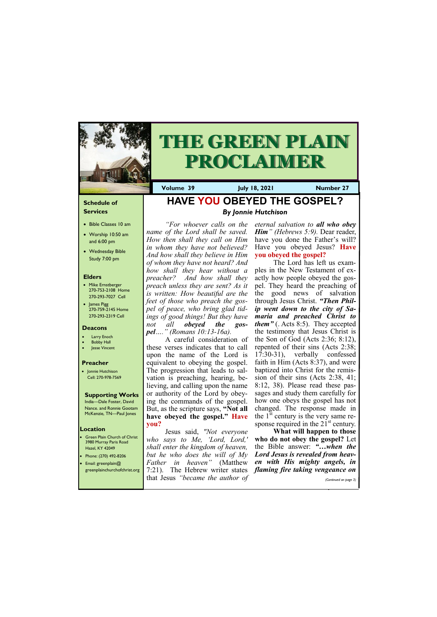## **Schedule of Services**

- Bible Classes 10 am
- Worship 10:50 am and 6:00 pm
- Wednesday Bible Study 7:00 pm

## **Elders**

- Mike Ernstberger 270-753-2108 Home 270-293-7027 Cell
- James Pigg 270-759-2145 Home 270-293-2319 Cell

**Green Plain Church of Christ** 3980 Murray Paris Road Hazel, KY 42049 • Phone: (270) 492-8206 • Email: greenplain@



# **THE GREEN PLAIN PROCLAIMER**

## **Location**

**Volume 39 July 18, 2021 Number 27**

### **Deacons**

- **Larry Enoch**
- **Bobby Hall**
- Jesse Vincent

### **Preacher**

• Jonnie Hutchison Cell: 270-978-7569

## **Supporting Works**

India—Dale Foster, David Nance. and Ronnie Gootam McKenzie, TN—Paul Jones

## **HAVE YOU OBEYED THE GOSPEL?** *By Jonnie Hutchison*

*"For whoever calls on the name of the Lord shall be saved. How then shall they call on Him in whom they have not believed? And how shall they believe in Him of whom they have not heard? And how shall they hear without a preacher? And how shall they preach unless they are sent? As it is written: How beautiful are the feet of those who preach the gospel of peace, who bring glad tidings of good things! But they have not all obeyed the gospel…." (Romans 10:13-16a).*

The Lord has left us examples in the New Testament of exactly how people obeyed the gospel. They heard the preaching of the good news of salvation through Jesus Christ. *"Then Philip went down to the city of Samaria and preached Christ to them"* (. Acts 8:5). They accepted the testimony that Jesus Christ is the Son of God (Acts 2:36; 8:12), repented of their sins (Acts 2:38; 17:30-31), verbally confessed faith in Him (Acts 8:37), and were baptized into Christ for the remission of their sins (Acts 2:38, 41; 8:12, 38). Please read these passages and study them carefully for how one obeys the gospel has not changed. The response made in the  $1<sup>st</sup>$  century is the very same response required in the  $21<sup>st</sup>$  century.

A careful consideration of these verses indicates that to call upon the name of the Lord is equivalent to obeying the gospel. The progression that leads to salvation is preaching, hearing, believing, and calling upon the name or authority of the Lord by obeying the commands of the gospel. But, as the scripture says, **"Not all have obeyed the gospel." Have you?**

| s greenplainchurchofchrist.org 7:21). The Hebrew writer states flaming fire taking vengeance on |                       |
|-------------------------------------------------------------------------------------------------|-----------------------|
| that Jesus "became the author of                                                                | (Continued on page 3) |

Jesus said, *"Not everyone who says to Me, 'Lord, Lord,' shall enter the kingdom of heaven, but he who does the will of My Father in heaven"* (Matthew *eternal salvation to all who obey Him*<sup>"</sup> *(Hebrews 5:9)*. Dear reader, have you done the Father's will? Have you obeyed Jesus? **Have you obeyed the gospel?**

**What will happen to those who do not obey the gospel?** Let the Bible answer: *"…when the Lord Jesus is revealed from heaven with His mighty angels, in*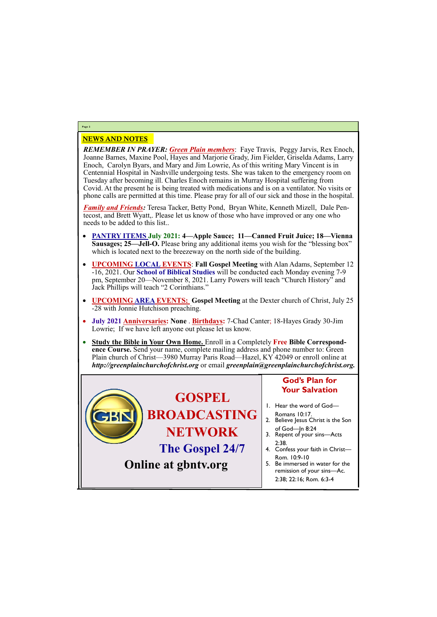# NEWS AND NOTES

*REMEMBER IN PRAYER: Green Plain members*: Faye Travis, Peggy Jarvis, Rex Enoch, Joanne Barnes, Maxine Pool, Hayes and Marjorie Grady, Jim Fielder, Griselda Adams, Larry Enoch, Carolyn Byars, and Mary and Jim Lowrie, As of this writing Mary Vincent is in Centennial Hospital in Nashville undergoing tests. She was taken to the emergency room on Tuesday after becoming ill. Charles Enoch remains in Murray Hospital suffering from Covid. At the present he is being treated with medications and is on a ventilator. No visits or phone calls are permitted at this time. Please pray for all of our sick and those in the hospital.

*Family and Friends:* Teresa Tacker, Betty Pond, Bryan White, Kenneth Mizell, Dale Pentecost, and Brett Wyatt,. Please let us know of those who have improved or any one who needs to be added to this list..

- **PANTRY ITEMS July 2021: 4—Apple Sauce; 11—Canned Fruit Juice; 18—Vienna Sausages; 25—Jell-O.** Please bring any additional items you wish for the "blessing box" which is located next to the breezeway on the north side of the building.
- **UPCOMING LOCAL EVENTS**: **Fall Gospel Meeting** with Alan Adams, September 12 -16, 2021. Our **School of Biblical Studies** will be conducted each Monday evening 7-9 pm, September 20—November 8, 2021. Larry Powers will teach "Church History" and Jack Phillips will teach "2 Corinthians."
- **UPCOMING AREA EVENTS: Gospel Meeting** at the Dexter church of Christ, July 25 -28 with Jonnie Hutchison preaching.
- **July 2021 Anniversaries: None** . **Birthdays:** 7-Chad Canter; 18-Hayes Grady 30-Jim Lowrie; If we have left anyone out please let us know.
- **Study the Bible in Your Own Home.** Enroll in a Completely **Free Bible Correspondence Course.** Send your name, complete mailing address and phone number to: Green Plain church of Christ—3980 Murray Paris Road—Hazel, KY 42049 or enroll online at *http://greenplainchurchofchrist.org* or email *greenplain@greenplainchurchofchrist.org.*

## **Page 2**

## **Online at gbntv.org**

#### **GOSPEL BROADCASTING NETWORK The Gospel 24/7 God's Plan for Your Salvation** 1. Hear the word of God— Romans 10:17. 2. Believe Jesus Christ is the Son of God—Jn 8:24 3. Repent of your sins—Acts 2:38. 4. Confess your faith in Christ— Rom. 10:9-10 5. Be immersed in water for the

remission of your sins—Ac. 2:38; 22:16; Rom. 6:3-4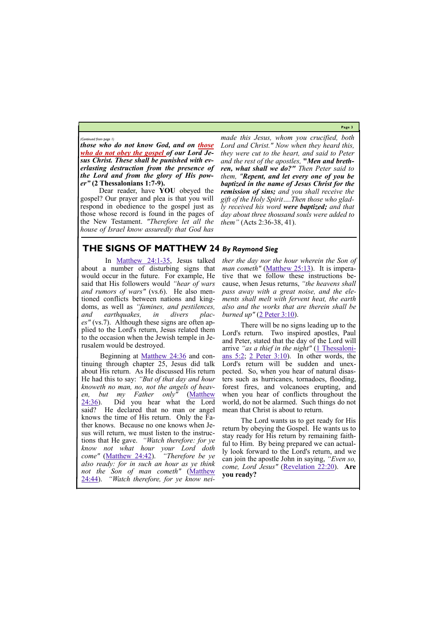**Page 3**

*those who do not know God, and on those who do not obey the gospel of our Lord Jesus Christ. These shall be punished with everlasting destruction from the presence of the Lord and from the glory of His power"* **(2 Thessalonians 1:7-9).**

Dear reader, have **YOU** obeyed the gospel? Our prayer and plea is that you will respond in obedience to the gospel just as those whose record is found in the pages of the New Testament. *"Therefore let all the house of Israel know assuredly that God has* 

*made this Jesus, whom you crucified, both Lord and Christ." Now when they heard this, they were cut to the heart, and said to Peter and the rest of the apostles,* **"***Men and brethren, what shall we do?" Then Peter said to them, "Repent, and let every one of you be baptized in the name of Jesus Christ for the remission of sins; and you shall receive the gift of the Holy Spirit….Then those who gladly received his word were baptized; and that day about three thousand souls were added to them"* (Acts 2:36-38, 41).

*(Continued from page 1)*

## **THE SIGNS OF MATTHEW 24** *By Raymond Sieg*

*ther the day nor the hour wherein the Son of man cometh"* [\(Matthew 25:13\)](https://biblia.com/bible/nkjv/Matt%2025.13). It is imperative that we follow these instructions because, when Jesus returns, *"the heavens shall pass away with a great noise, and the elements shall melt with fervent heat, the earth also and the works that are therein shall be burned up"* ([2 Peter 3:10\).](https://biblia.com/bible/nkjv/2%20Pet%203.10)

In [Matthew 24:1](https://biblia.com/bible/nkjv/Matt%2024.1-35)-35, Jesus talked about a number of disturbing signs that would occur in the future. For example, He said that His followers would *"hear of wars and rumors of wars"* (vs.6). He also mentioned conflicts between nations and kingdoms, as well as *"famines, and pestilences, and earthquakes, in divers places"* (vs.7). Although these signs are often applied to the Lord's return, Jesus related them to the occasion when the Jewish temple in Jerusalem would be destroyed.

Beginning at [Matthew 24:36](https://biblia.com/bible/nkjv/Matt%2024.36) and continuing through chapter 25, Jesus did talk about His return. As He discussed His return He had this to say: *"But of that day and hour knoweth no man, no, not the angels of heaven, but my Father only"* ([Matthew](https://biblia.com/bible/nkjv/Matt%2024.36)   $24:36$ ). Did you hear what the Lord said? He declared that no man or angel knows the time of His return. Only the Father knows. Because no one knows when Jesus will return, we must listen to the instructions that He gave. *"Watch therefore: for ye know not what hour your Lord doth come"* ([Matthew 24:42\).](https://biblia.com/bible/nkjv/Matt%2024.42) *"Therefore be ye also ready: for in such an hour as ye think* 



There will be no signs leading up to the Lord's return. Two inspired apostles, Paul and Peter, stated that the day of the Lord will arrive "*as a thief in the night"* [\(1 Thessaloni](https://biblia.com/bible/nkjv/1%20Thess%205.2)[ans 5:2;](https://biblia.com/bible/nkjv/1%20Thess%205.2) [2 Peter 3:10\).](https://biblia.com/bible/nkjv/2%20Pet%203.10) In other words, the Lord's return will be sudden and unexpected. So, when you hear of natural disasters such as hurricanes, tornadoes, flooding, forest fires, and volcanoes erupting, and when you hear of conflicts throughout the world, do not be alarmed. Such things do not mean that Christ is about to return.

The Lord wants us to get ready for His return by obeying the Gospel. He wants us to stay ready for His return by remaining faithful to Him. By being prepared we can actually look forward to the Lord's return, and we can join the apostle John in saying, *"Even so,*